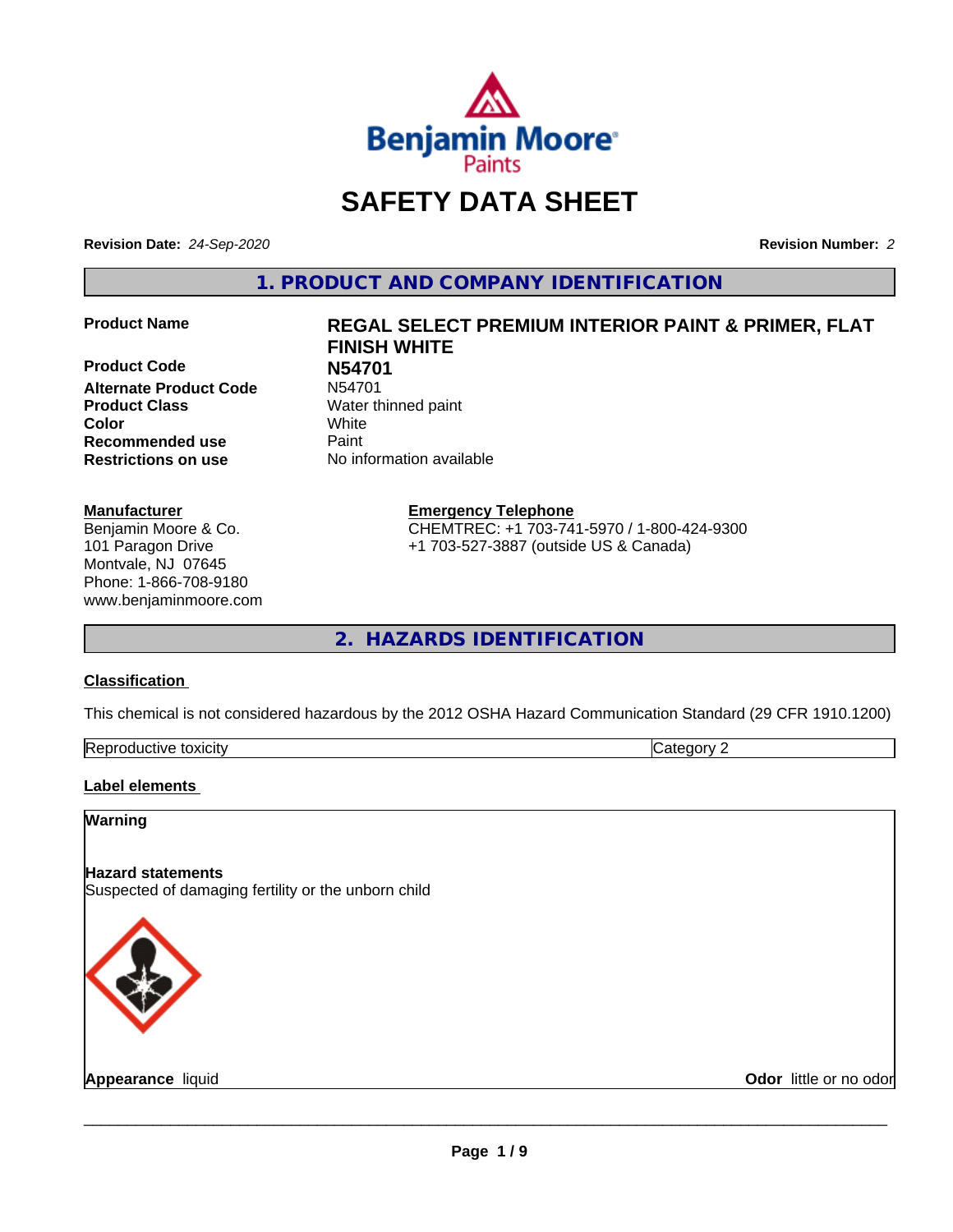

## **SAFETY DATA SHEET**

**Revision Date:** *24-Sep-2020* **Revision Number:** *2*

**1. PRODUCT AND COMPANY IDENTIFICATION**

**Product Code 1998**<br>**Alternate Product Code** N54701 **Alternate Product Code Product Class** Water thinned paint **Color** White **Recommended use Caint Restrictions on use** No information available

#### **Manufacturer**

Benjamin Moore & Co. 101 Paragon Drive Montvale, NJ 07645 Phone: 1-866-708-9180 www.benjaminmoore.com

# **Product Name REGAL SELECT PREMIUM INTERIOR PAINT & PRIMER, FLAT FINISH WHITE**

**Emergency Telephone**

CHEMTREC: +1 703-741-5970 / 1-800-424-9300 +1 703-527-3887 (outside US & Canada)

**2. HAZARDS IDENTIFICATION**

#### **Classification**

This chemical is not considered hazardous by the 2012 OSHA Hazard Communication Standard (29 CFR 1910.1200)

| toxicity<br>RAN<br>rtive<br>-.<br>- - | ١ſ |
|---------------------------------------|----|
|---------------------------------------|----|

#### **Label elements**

#### **Warning**

#### **Hazard statements**

Suspected of damaging fertility or the unborn child



**Appearance** liquid **Contract Contract Contract Contract Contract Contract Contract Contract Contract Contract Contract Contract Contract Contract Contract Contract Contract Contract Contract Contract Contract Contract Con**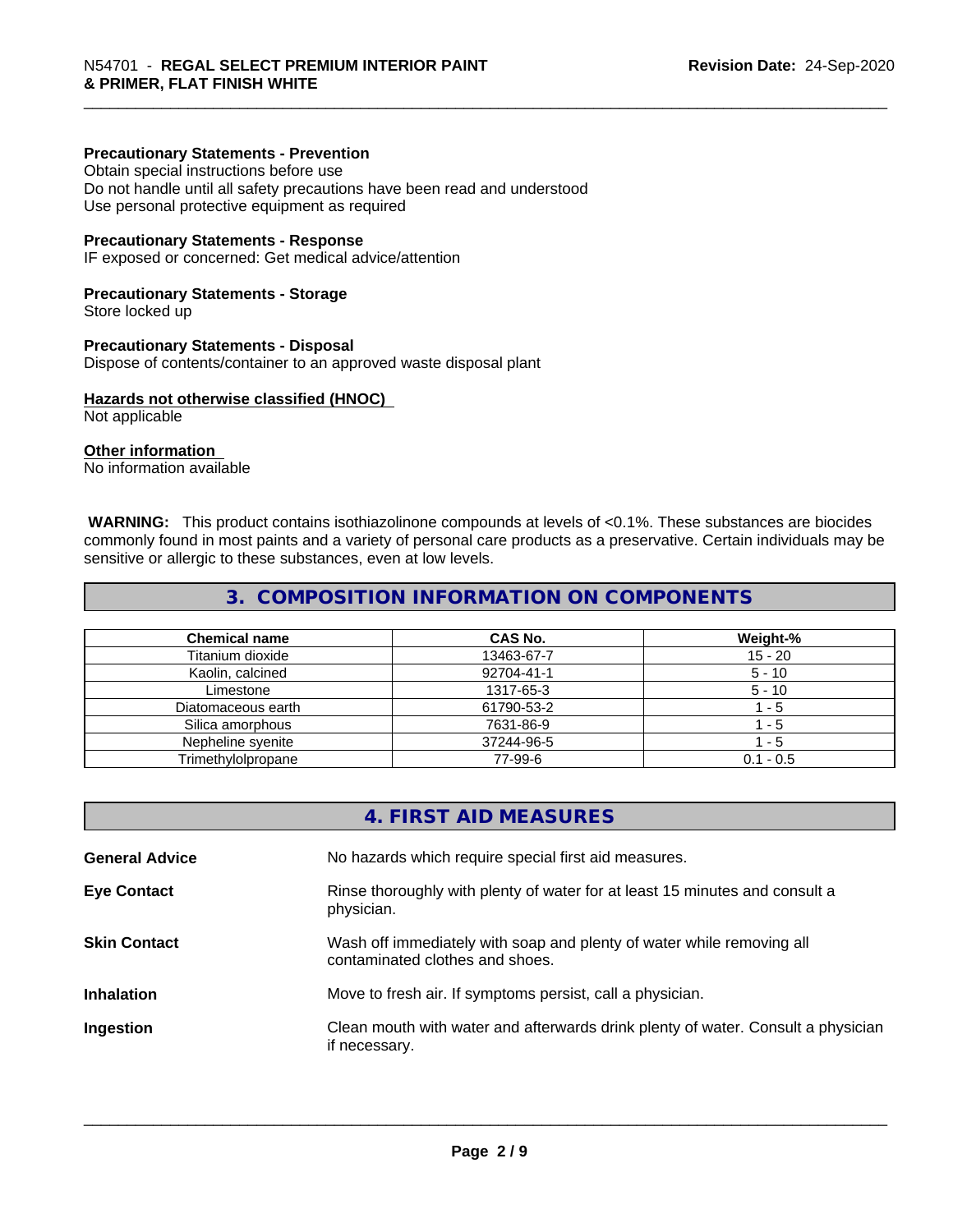#### **Precautionary Statements - Prevention**

Obtain special instructions before use Do not handle until all safety precautions have been read and understood Use personal protective equipment as required

#### **Precautionary Statements - Response**

IF exposed or concerned: Get medical advice/attention

#### **Precautionary Statements - Storage**

Store locked up

#### **Precautionary Statements - Disposal**

Dispose of contents/container to an approved waste disposal plant

#### **Hazards not otherwise classified (HNOC)**

Not applicable

#### **Other information**

No information available

 **WARNING:** This product contains isothiazolinone compounds at levels of <0.1%. These substances are biocides commonly found in most paints and a variety of personal care products as a preservative. Certain individuals may be sensitive or allergic to these substances, even at low levels.

#### **3. COMPOSITION INFORMATION ON COMPONENTS**

| <b>Chemical name</b> | CAS No.    | Weight-%    |
|----------------------|------------|-------------|
| Titanium dioxide     | 13463-67-7 | 15 - 20     |
| Kaolin, calcined     | 92704-41-1 | $5 - 10$    |
| Limestone            | 1317-65-3  | $5 - 10$    |
| Diatomaceous earth   | 61790-53-2 | - 5         |
| Silica amorphous     | 7631-86-9  | - 5         |
| Nepheline syenite    | 37244-96-5 | - 5         |
| Trimethylolpropane   | 77-99-6    | $0.1 - 0.5$ |

|                       | 4. FIRST AID MEASURES                                                                                    |
|-----------------------|----------------------------------------------------------------------------------------------------------|
| <b>General Advice</b> | No hazards which require special first aid measures.                                                     |
| <b>Eye Contact</b>    | Rinse thoroughly with plenty of water for at least 15 minutes and consult a<br>physician.                |
| <b>Skin Contact</b>   | Wash off immediately with soap and plenty of water while removing all<br>contaminated clothes and shoes. |
| <b>Inhalation</b>     | Move to fresh air. If symptoms persist, call a physician.                                                |
| Ingestion             | Clean mouth with water and afterwards drink plenty of water. Consult a physician<br>if necessary.        |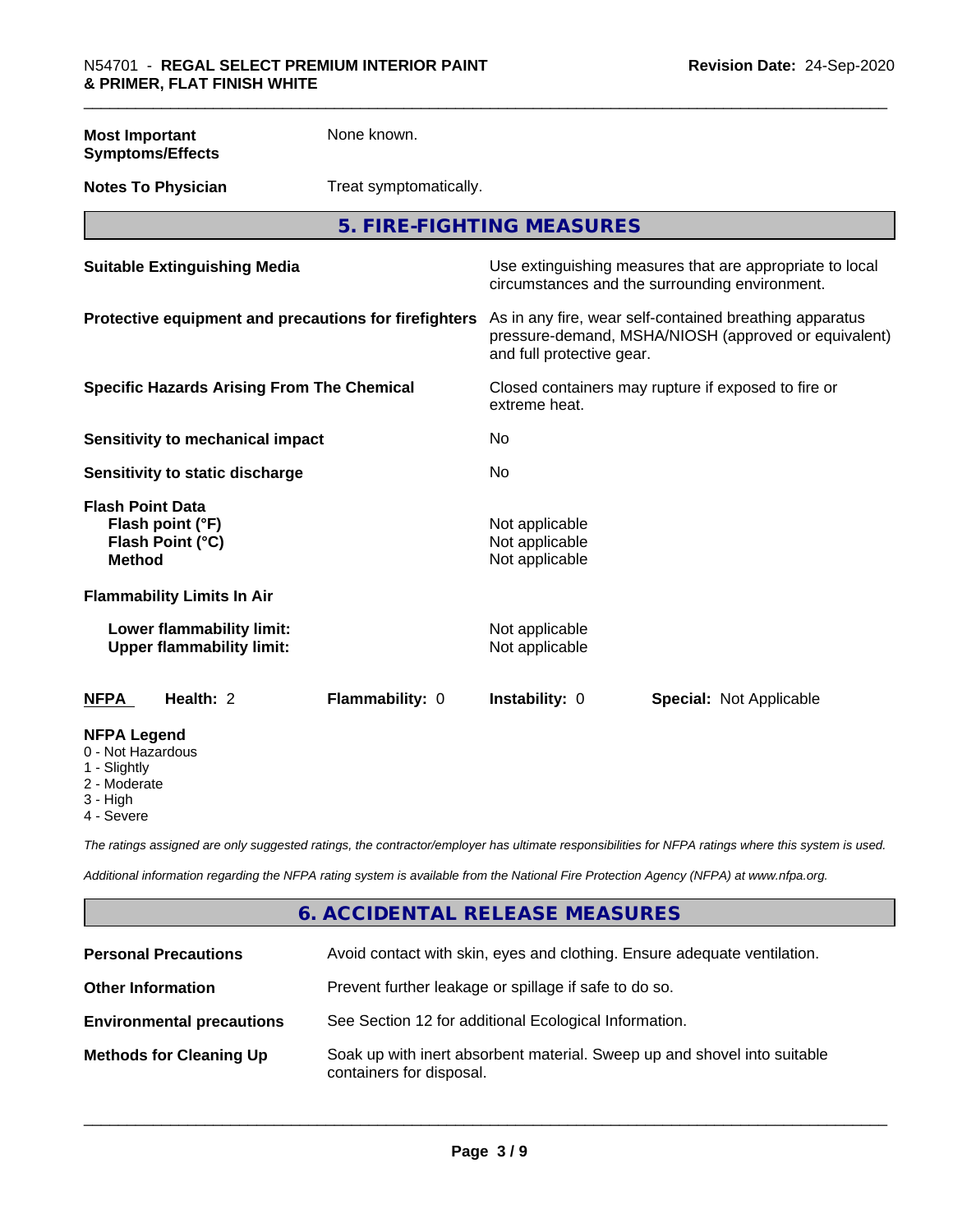| <b>Most Important</b><br><b>Symptoms/Effects</b>                                 | None known.            |                                                    |                                                                                                                 |
|----------------------------------------------------------------------------------|------------------------|----------------------------------------------------|-----------------------------------------------------------------------------------------------------------------|
| <b>Notes To Physician</b>                                                        | Treat symptomatically. |                                                    |                                                                                                                 |
|                                                                                  |                        | 5. FIRE-FIGHTING MEASURES                          |                                                                                                                 |
| <b>Suitable Extinguishing Media</b>                                              |                        |                                                    | Use extinguishing measures that are appropriate to local<br>circumstances and the surrounding environment.      |
| Protective equipment and precautions for firefighters                            |                        | and full protective gear.                          | As in any fire, wear self-contained breathing apparatus<br>pressure-demand, MSHA/NIOSH (approved or equivalent) |
| <b>Specific Hazards Arising From The Chemical</b>                                |                        | extreme heat.                                      | Closed containers may rupture if exposed to fire or                                                             |
| <b>Sensitivity to mechanical impact</b>                                          |                        | No                                                 |                                                                                                                 |
| Sensitivity to static discharge                                                  |                        | No                                                 |                                                                                                                 |
| <b>Flash Point Data</b><br>Flash point (°F)<br>Flash Point (°C)<br><b>Method</b> |                        | Not applicable<br>Not applicable<br>Not applicable |                                                                                                                 |
| <b>Flammability Limits In Air</b>                                                |                        |                                                    |                                                                                                                 |
| Lower flammability limit:<br><b>Upper flammability limit:</b>                    |                        | Not applicable<br>Not applicable                   |                                                                                                                 |
| Health: 2<br><b>NFPA</b>                                                         | Flammability: 0        | Instability: 0                                     | <b>Special: Not Applicable</b>                                                                                  |
| <b>NFPA Legend</b><br>0 - Not Hazardous                                          |                        |                                                    |                                                                                                                 |

- 
- 1 Slightly
- 2 Moderate
- 3 High
- 4 Severe

*The ratings assigned are only suggested ratings, the contractor/employer has ultimate responsibilities for NFPA ratings where this system is used.*

*Additional information regarding the NFPA rating system is available from the National Fire Protection Agency (NFPA) at www.nfpa.org.*

#### **6. ACCIDENTAL RELEASE MEASURES**

| <b>Personal Precautions</b>      | Avoid contact with skin, eyes and clothing. Ensure adequate ventilation.                             |
|----------------------------------|------------------------------------------------------------------------------------------------------|
| <b>Other Information</b>         | Prevent further leakage or spillage if safe to do so.                                                |
| <b>Environmental precautions</b> | See Section 12 for additional Ecological Information.                                                |
| <b>Methods for Cleaning Up</b>   | Soak up with inert absorbent material. Sweep up and shovel into suitable<br>containers for disposal. |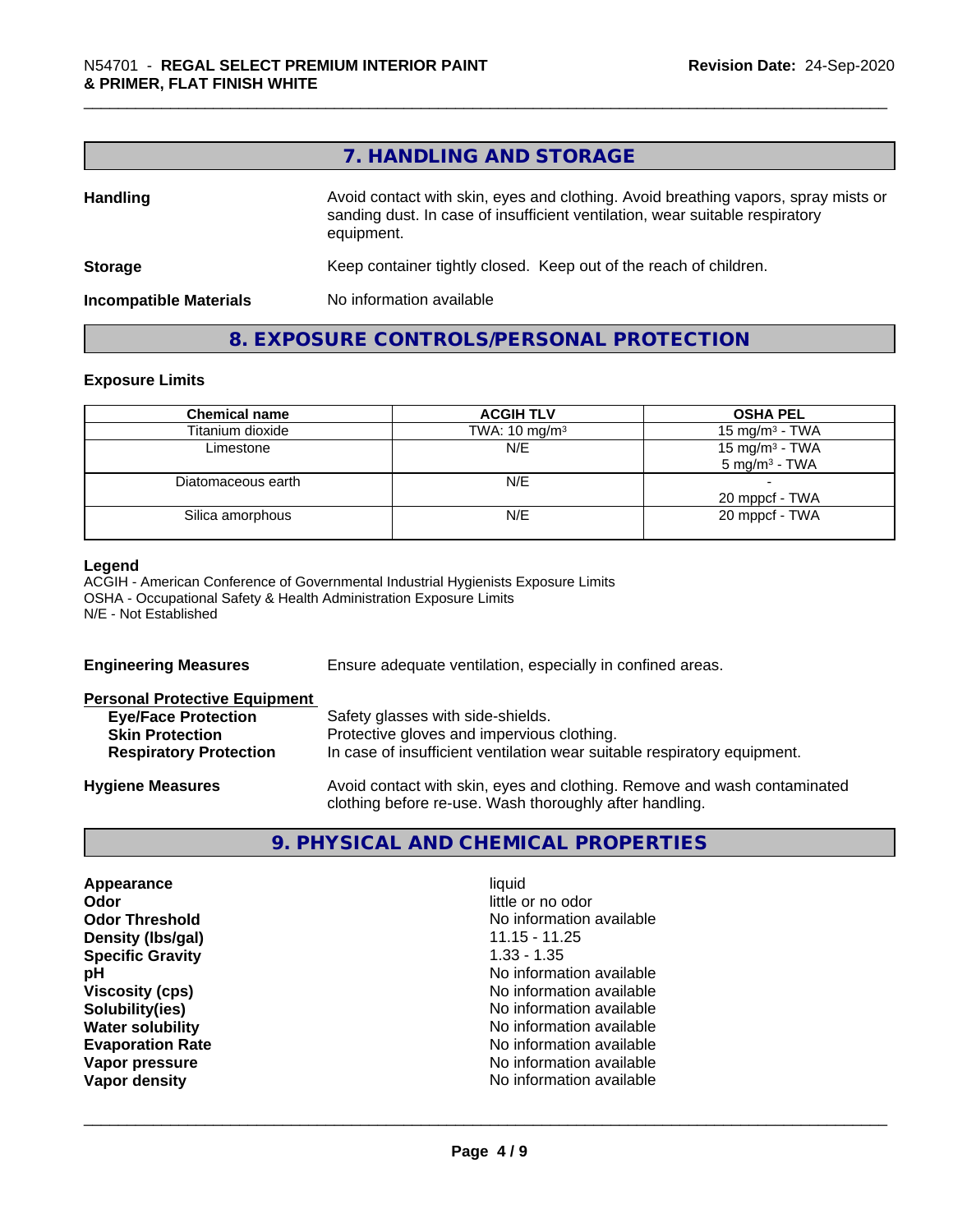|                               | 7. HANDLING AND STORAGE                                                                                                                                                          |
|-------------------------------|----------------------------------------------------------------------------------------------------------------------------------------------------------------------------------|
| <b>Handling</b>               | Avoid contact with skin, eyes and clothing. Avoid breathing vapors, spray mists or<br>sanding dust. In case of insufficient ventilation, wear suitable respiratory<br>equipment. |
| <b>Storage</b>                | Keep container tightly closed. Keep out of the reach of children.                                                                                                                |
| <b>Incompatible Materials</b> | No information available                                                                                                                                                         |

## **8. EXPOSURE CONTROLS/PERSONAL PROTECTION**

#### **Exposure Limits**

| <b>Chemical name</b> | <b>ACGIH TLV</b>         | <b>OSHA PEL</b>                               |
|----------------------|--------------------------|-----------------------------------------------|
| Titanium dioxide     | TWA: $10 \text{ mg/m}^3$ | 15 mg/m <sup>3</sup> - TWA                    |
| Limestone            | N/E                      | 15 mg/m $3$ - TWA<br>$5 \text{ mg/m}^3$ - TWA |
| Diatomaceous earth   | N/E                      | 20 mppcf - TWA                                |
| Silica amorphous     | N/E                      | 20 mppcf - TWA                                |

#### **Legend**

ACGIH - American Conference of Governmental Industrial Hygienists Exposure Limits OSHA - Occupational Safety & Health Administration Exposure Limits N/E - Not Established

| <b>Engineering Measures</b>          | Ensure adequate ventilation, especially in confined areas.                                                                          |
|--------------------------------------|-------------------------------------------------------------------------------------------------------------------------------------|
| <b>Personal Protective Equipment</b> |                                                                                                                                     |
| <b>Eye/Face Protection</b>           | Safety glasses with side-shields.                                                                                                   |
| <b>Skin Protection</b>               | Protective gloves and impervious clothing.                                                                                          |
| <b>Respiratory Protection</b>        | In case of insufficient ventilation wear suitable respiratory equipment.                                                            |
| <b>Hygiene Measures</b>              | Avoid contact with skin, eyes and clothing. Remove and wash contaminated<br>clothing before re-use. Wash thoroughly after handling. |

### **9. PHYSICAL AND CHEMICAL PROPERTIES**

| Appearance              | liquid                   |
|-------------------------|--------------------------|
| Odor                    | little or no odor        |
| <b>Odor Threshold</b>   | No information available |
| Density (Ibs/gal)       | $11.15 - 11.25$          |
| <b>Specific Gravity</b> | $1.33 - 1.35$            |
| рH                      | No information available |
| <b>Viscosity (cps)</b>  | No information available |
| Solubility(ies)         | No information available |
| <b>Water solubility</b> | No information available |
| <b>Evaporation Rate</b> | No information available |
| Vapor pressure          | No information available |
| Vapor density           | No information available |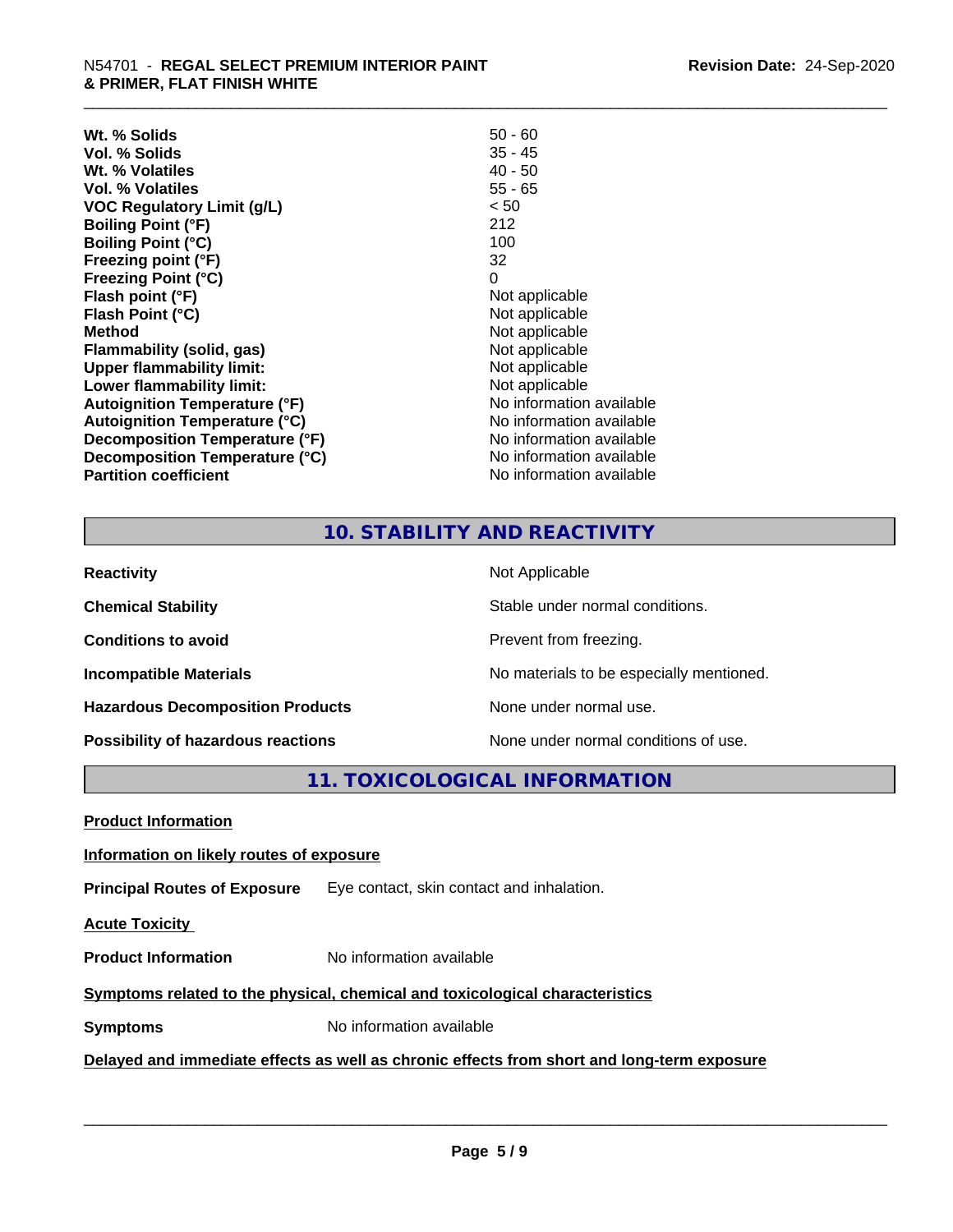| $50 - 60$                |
|--------------------------|
| $35 - 45$                |
| $40 - 50$                |
| $55 - 65$                |
| < 50                     |
| 212                      |
| 100                      |
| 32                       |
| 0                        |
| Not applicable           |
| Not applicable           |
| Not applicable           |
| Not applicable           |
| Not applicable           |
| Not applicable           |
| No information available |
| No information available |
| No information available |
| No information available |
| No information available |
|                          |

#### **10. STABILITY AND REACTIVITY**

| <b>Reactivity</b>                       | Not Applicable                           |
|-----------------------------------------|------------------------------------------|
| <b>Chemical Stability</b>               | Stable under normal conditions.          |
| <b>Conditions to avoid</b>              | Prevent from freezing.                   |
| <b>Incompatible Materials</b>           | No materials to be especially mentioned. |
| <b>Hazardous Decomposition Products</b> | None under normal use.                   |
| Possibility of hazardous reactions      | None under normal conditions of use.     |

**11. TOXICOLOGICAL INFORMATION**

**Product Information**

#### **Information on likely routes of exposure**

**Principal Routes of Exposure** Eye contact, skin contact and inhalation.

**Acute Toxicity** 

**Product Information** No information available

#### **Symptoms** related to the physical, chemical and toxicological characteristics

**Symptoms** No information available

#### **Delayed and immediate effects as well as chronic effects from short and long-term exposure**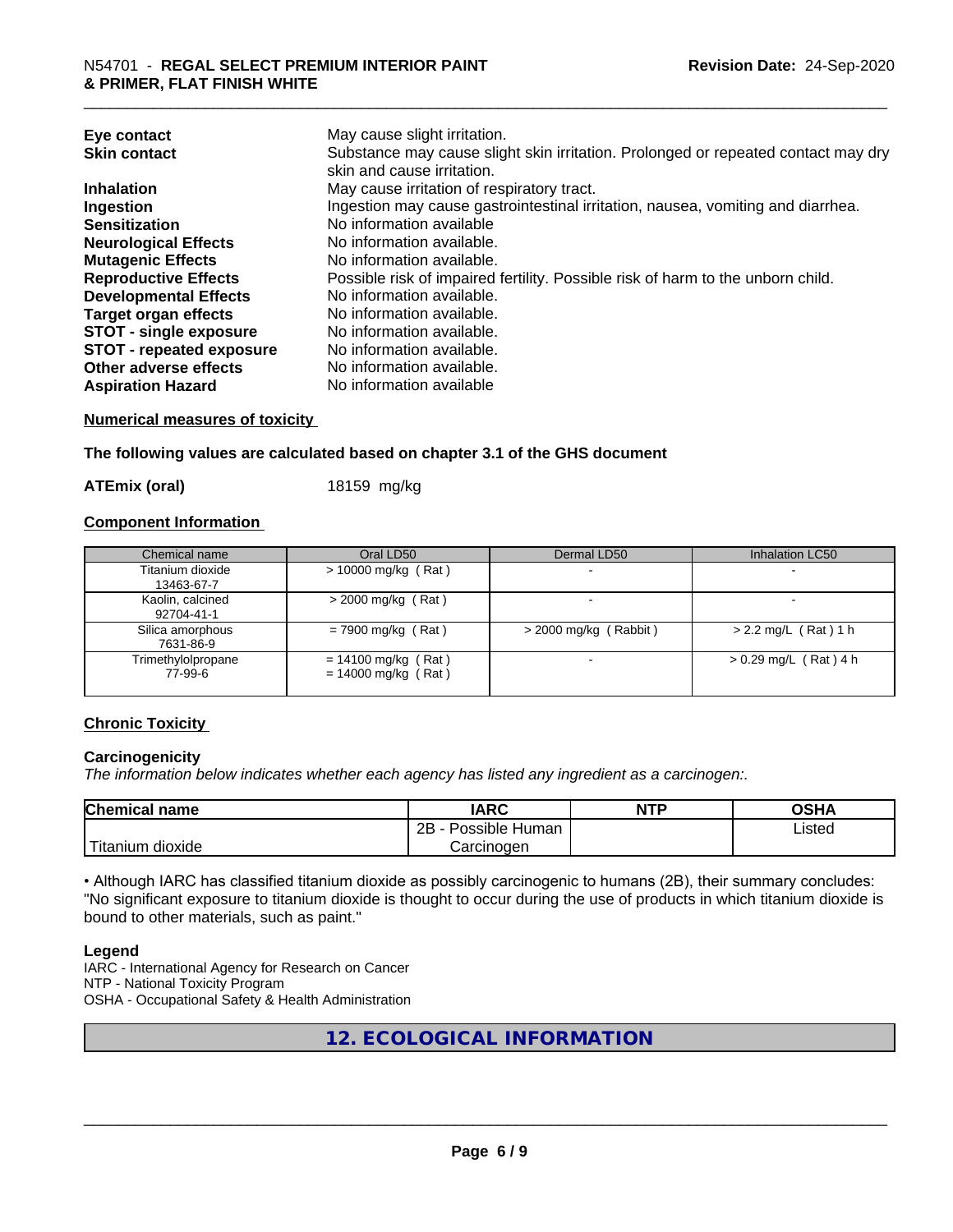| Eye contact<br><b>Skin contact</b> | May cause slight irritation.<br>Substance may cause slight skin irritation. Prolonged or repeated contact may dry<br>skin and cause irritation. |
|------------------------------------|-------------------------------------------------------------------------------------------------------------------------------------------------|
| <b>Inhalation</b>                  | May cause irritation of respiratory tract.                                                                                                      |
| Ingestion                          | Ingestion may cause gastrointestinal irritation, nausea, vomiting and diarrhea.                                                                 |
| <b>Sensitization</b>               | No information available                                                                                                                        |
| <b>Neurological Effects</b>        | No information available.                                                                                                                       |
| <b>Mutagenic Effects</b>           | No information available.                                                                                                                       |
| <b>Reproductive Effects</b>        | Possible risk of impaired fertility. Possible risk of harm to the unborn child.                                                                 |
| <b>Developmental Effects</b>       | No information available.                                                                                                                       |
| <b>Target organ effects</b>        | No information available.                                                                                                                       |
| <b>STOT - single exposure</b>      | No information available.                                                                                                                       |
| <b>STOT - repeated exposure</b>    | No information available.                                                                                                                       |
| Other adverse effects              | No information available.                                                                                                                       |
| <b>Aspiration Hazard</b>           | No information available                                                                                                                        |

#### **Numerical measures of toxicity**

**The following values are calculated based on chapter 3.1 of the GHS document**

**ATEmix (oral)** 18159 mg/kg

#### **Component Information**

| Chemical name                  | Oral LD50                                      | Dermal LD50             | Inhalation LC50         |
|--------------------------------|------------------------------------------------|-------------------------|-------------------------|
| Titanium dioxide<br>13463-67-7 | $> 10000$ mg/kg (Rat)                          |                         |                         |
| Kaolin, calcined<br>92704-41-1 | $>$ 2000 mg/kg (Rat)                           |                         |                         |
| Silica amorphous<br>7631-86-9  | $= 7900$ mg/kg (Rat)                           | $>$ 2000 mg/kg (Rabbit) | $> 2.2$ mg/L (Rat) 1 h  |
| Trimethylolpropane<br>77-99-6  | $= 14100$ mg/kg (Rat)<br>$= 14000$ mg/kg (Rat) |                         | $> 0.29$ mg/L (Rat) 4 h |

#### **Chronic Toxicity**

#### **Carcinogenicity**

*The information below indicateswhether each agency has listed any ingredient as a carcinogen:.*

| <b>Chemical</b><br>name            | <b>IARC</b>                                | <b>NTP</b> | ດເ⊔າ<br>∪אח |
|------------------------------------|--------------------------------------------|------------|-------------|
|                                    | .<br>クロ<br>Human<br>Possible<br><u>_ _</u> |            | ∟isted      |
| .<br><br>dioxide<br><b>itanium</b> | Carcinogen                                 |            |             |

• Although IARC has classified titanium dioxide as possibly carcinogenic to humans (2B), their summary concludes: "No significant exposure to titanium dioxide is thought to occur during the use of products in which titanium dioxide is bound to other materials, such as paint."

#### **Legend**

IARC - International Agency for Research on Cancer NTP - National Toxicity Program OSHA - Occupational Safety & Health Administration

**12. ECOLOGICAL INFORMATION**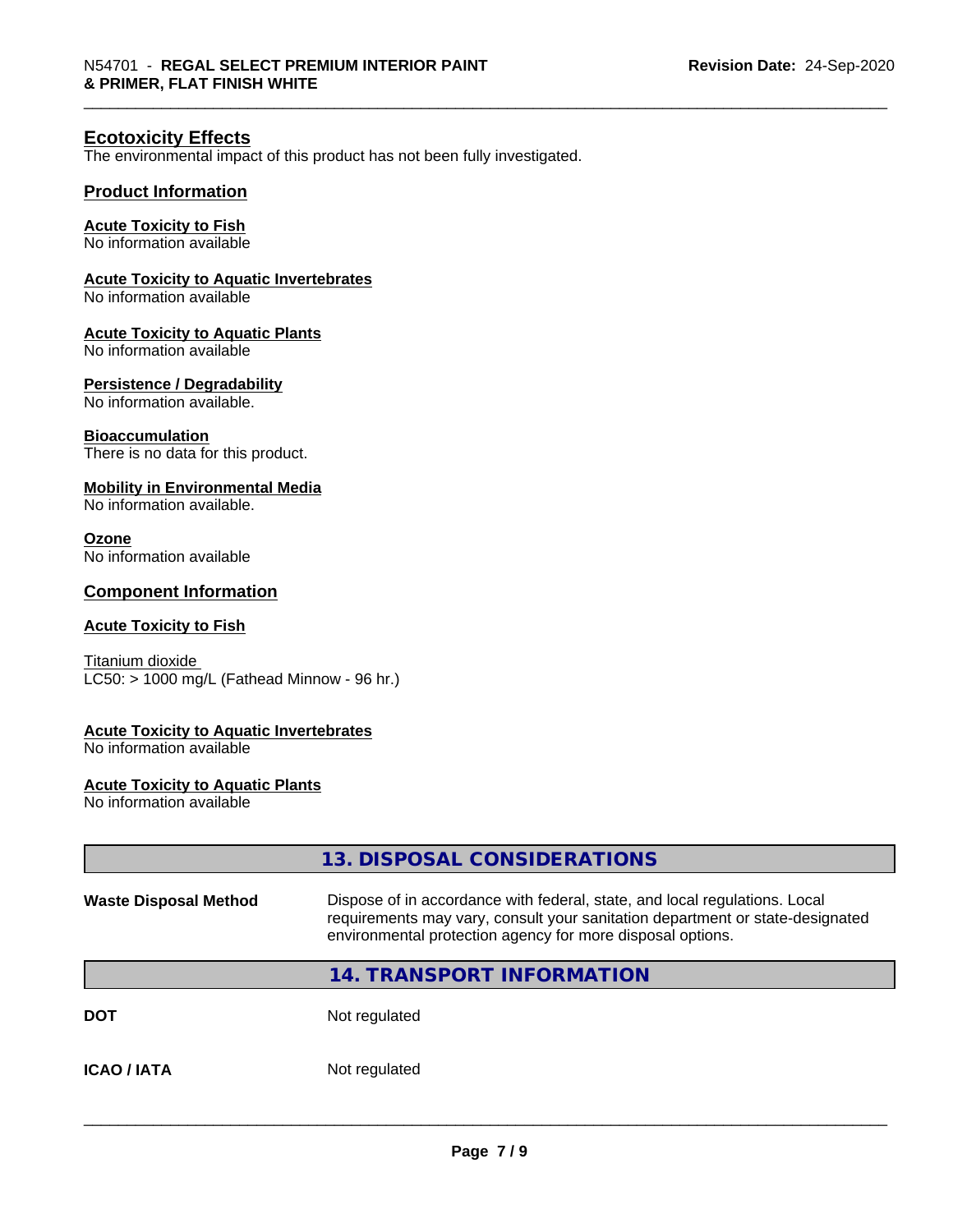#### **Ecotoxicity Effects**

The environmental impact of this product has not been fully investigated.

#### **Product Information**

#### **Acute Toxicity to Fish**

No information available

#### **Acute Toxicity to Aquatic Invertebrates**

No information available

#### **Acute Toxicity to Aquatic Plants**

No information available

#### **Persistence / Degradability**

No information available.

#### **Bioaccumulation**

There is no data for this product.

#### **Mobility in Environmental Media**

No information available.

#### **Ozone**

No information available

#### **Component Information**

#### **Acute Toxicity to Fish**

Titanium dioxide  $LC50:$  > 1000 mg/L (Fathead Minnow - 96 hr.)

#### **Acute Toxicity to Aquatic Invertebrates**

No information available

#### **Acute Toxicity to Aquatic Plants**

No information available

|                              | 13. DISPOSAL CONSIDERATIONS                                                                                                                                                                                               |
|------------------------------|---------------------------------------------------------------------------------------------------------------------------------------------------------------------------------------------------------------------------|
| <b>Waste Disposal Method</b> | Dispose of in accordance with federal, state, and local regulations. Local<br>requirements may vary, consult your sanitation department or state-designated<br>environmental protection agency for more disposal options. |
|                              | <b>14. TRANSPORT INFORMATION</b>                                                                                                                                                                                          |
| <b>DOT</b>                   | Not regulated                                                                                                                                                                                                             |
| <b>ICAO/IATA</b>             | Not regulated                                                                                                                                                                                                             |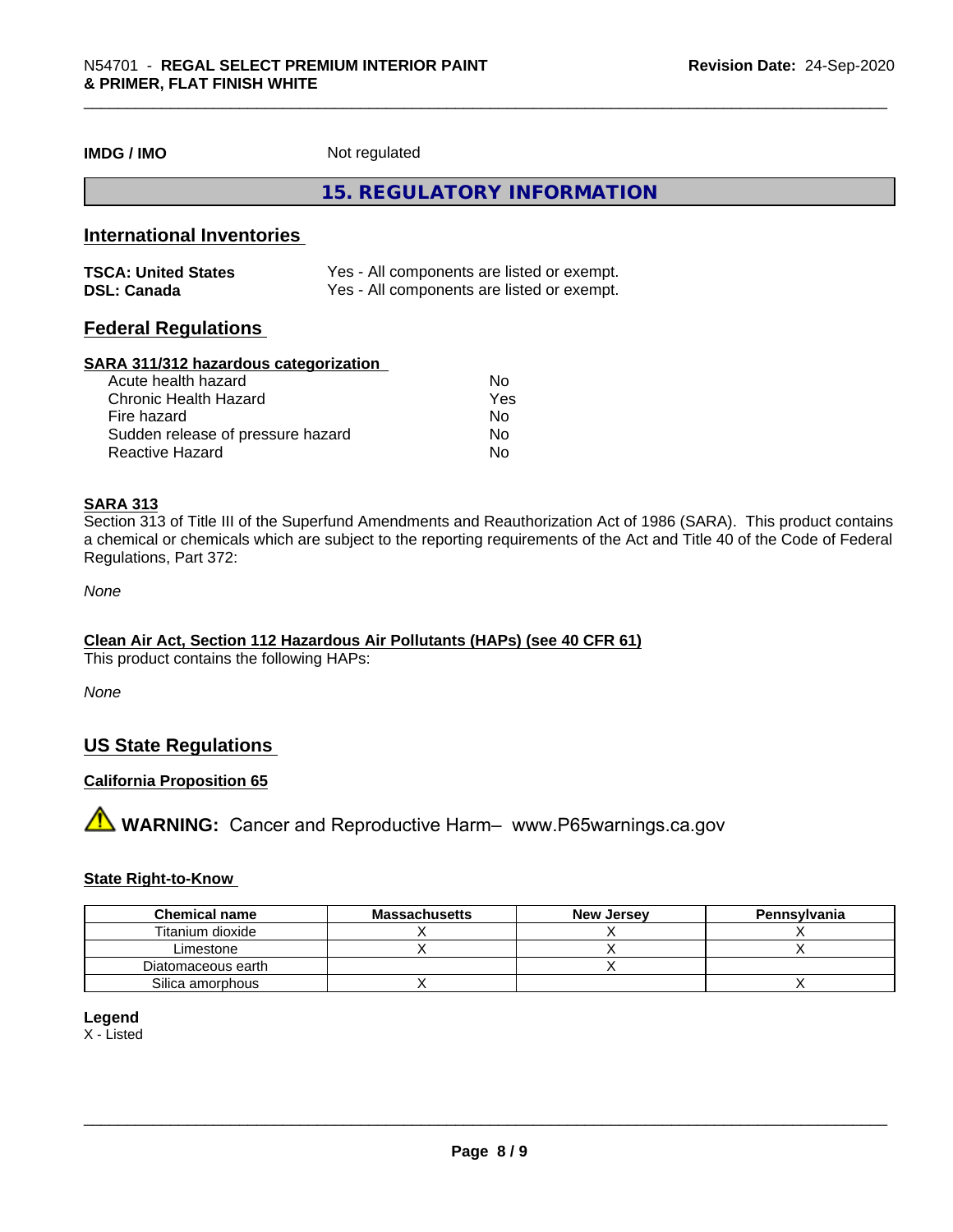**IMDG / IMO** Not regulated

**15. REGULATORY INFORMATION**

#### **International Inventories**

| <b>TSCA: United States</b> | Yes - All components are listed or exempt. |
|----------------------------|--------------------------------------------|
| <b>DSL: Canada</b>         | Yes - All components are listed or exempt. |

#### **Federal Regulations**

#### **SARA 311/312 hazardous categorization**

| Acute health hazard               | No  |  |
|-----------------------------------|-----|--|
| Chronic Health Hazard             | Yes |  |
| Fire hazard                       | No  |  |
| Sudden release of pressure hazard | Nο  |  |
| Reactive Hazard                   | Nο  |  |

#### **SARA 313**

Section 313 of Title III of the Superfund Amendments and Reauthorization Act of 1986 (SARA). This product contains a chemical or chemicals which are subject to the reporting requirements of the Act and Title 40 of the Code of Federal Regulations, Part 372:

*None*

#### **Clean Air Act,Section 112 Hazardous Air Pollutants (HAPs) (see 40 CFR 61)**

This product contains the following HAPs:

*None*

#### **US State Regulations**

#### **California Proposition 65**

**A** WARNING: Cancer and Reproductive Harm– www.P65warnings.ca.gov

#### **State Right-to-Know**

| <b>Chemical name</b> | <b>Massachusetts</b> | <b>New Jersey</b> | Pennsylvania |
|----------------------|----------------------|-------------------|--------------|
| Titanium dioxide     |                      |                   |              |
| Limestone            |                      |                   |              |
| Diatomaceous earth   |                      |                   |              |
| Silica amorphous     |                      |                   |              |

#### **Legend**

X - Listed